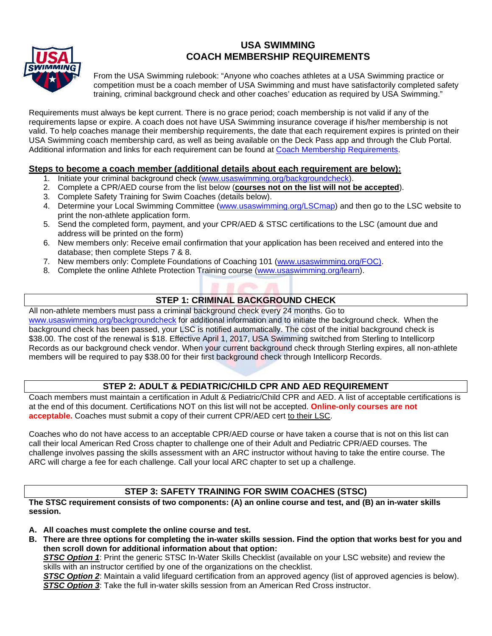## **USA SWIMMING COACH MEMBERSHIP REQUIREMENTS**



From the USA Swimming rulebook: "Anyone who coaches athletes at a USA Swimming practice or competition must be a coach member of USA Swimming and must have satisfactorily completed safety training, criminal background check and other coaches' education as required by USA Swimming."

Requirements must always be kept current. There is no grace period; coach membership is not valid if any of the requirements lapse or expire. A coach does not have USA Swimming insurance coverage if his/her membership is not valid. To help coaches manage their membership requirements, the date that each requirement expires is printed on their USA Swimming coach membership card, as well as being available on the Deck Pass app and through the Club Portal. Additional information and links for each requirement can be found at [Coach Membership Requirements.](https://www.usaswimming.org/coaches/coaching-membership-requirements-checklist)

## **Steps to become a coach member (additional details about each requirement are below):**

- 1. Initiate your criminal background check [\(www.usaswimming.org/backgroundcheck\)](http://www.usaswimming.org/backgroundcheck).
- 2. Complete a CPR/AED course from the list below (**courses not on the list will not be accepted**).
- 3. Complete Safety Training for Swim Coaches (details below).
- 4. Determine your Local Swimming Committee [\(www.usaswimming.org/LSCmap\)](http://www.usaswimming.org/LSCmap) and then go to the LSC website to print the non-athlete application form.
- 5. Send the completed form, payment, and your CPR/AED & STSC certifications to the LSC (amount due and address will be printed on the form)
- 6. New members only: Receive email confirmation that your application has been received and entered into the database; then complete Steps 7 & 8.
- 7. New members only: Complete Foundations of Coaching 101 [\(www.usaswimming.org/](http://www.usaswimming.org/)FOC).
- 8. Complete the online Athlete Protection Training course [\(www.usaswimming.org/learn\)](http://www.usaswimming.org/learn).

## **STEP 1: CRIMINAL BACKGROUND CHECK**

All non-athlete members must pass a criminal background check every 24 months. Go to [www.usaswimming.org/backgroundcheck](http://www.usaswimming.org/backgroundcheck) for additional information and to initiate the background check. When the background check has been passed, your LSC is notified automatically. The cost of the initial background check is \$38.00. The cost of the renewal is \$18. Effective April 1, 2017, USA Swimming switched from Sterling to Intellicorp Records as our background check vendor. When your current background check through Sterling expires, all non-athlete members will be required to pay \$38.00 for their first background check through Intellicorp Records.

## **STEP 2: ADULT & PEDIATRIC/CHILD CPR AND AED REQUIREMENT**

Coach members must maintain a certification in Adult & Pediatric/Child CPR and AED. A list of acceptable certifications is at the end of this document. Certifications NOT on this list will not be accepted. **Online-only courses are not acceptable.** Coaches must submit a copy of their current CPR/AED cert to their LSC.

Coaches who do not have access to an acceptable CPR/AED course or have taken a course that is not on this list can call their local American Red Cross chapter to challenge one of their Adult and Pediatric CPR/AED courses. The challenge involves passing the skills assessment with an ARC instructor without having to take the entire course. The ARC will charge a fee for each challenge. Call your local ARC chapter to set up a challenge.

## **STEP 3: SAFETY TRAINING FOR SWIM COACHES (STSC)**

**The STSC requirement consists of two components: (A) an online course and test, and (B) an in-water skills session.**

- **A. All coaches must complete the online course and test.**
- **B. There are three options for completing the in-water skills session. Find the option that works best for you and then scroll down for additional information about that option:**

**STSC Option 1:** Print the generic STSC In-Water Skills Checklist (available on your LSC website) and review the skills with an instructor certified by one of the organizations on the checklist.

**STSC Option 2**: Maintain a valid lifeguard certification from an approved agency (list of approved agencies is below). *STSC Option 3*: Take the full in-water skills session from an American Red Cross instructor.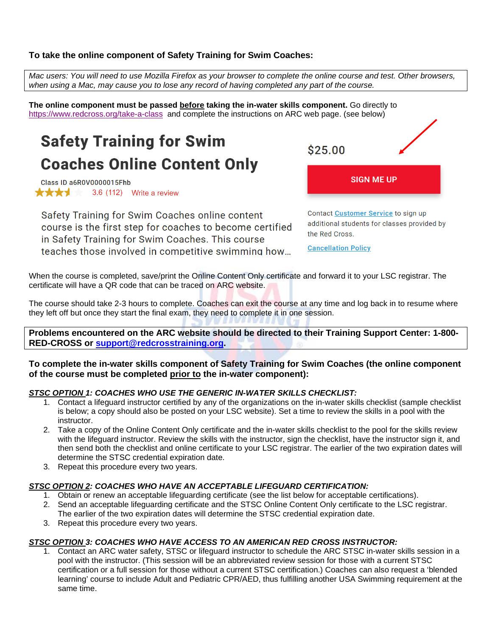## **To take the online component of Safety Training for Swim Coaches:**

*Mac users: You will need to use Mozilla Firefox as your browser to complete the online course and test. Other browsers, when using a Mac, may cause you to lose any record of having completed any part of the course.* 

**The online component must be passed before taking the in-water skills component.** Go directly to [https://www.redcross.org/take-a-class](https://www.redcross.org/take-a-class/search?cgid=swimming&zip=Colorado+Springs%2C+CO+80909%2C+USA&latitude=38.8560908&longitude=-104.7812654&zipcode=80909&searchtype=class) and complete the instructions on ARC web page. (see below)

# **Safety Training for Swim Coaches Online Content Only**

Class ID a6R0V0000015Fhb **\*\*\*\*** 3.6 (112) Write a review

Safety Training for Swim Coaches online content course is the first step for coaches to become certified in Safety Training for Swim Coaches. This course teaches those involved in competitive swimming how...

\$25.00

Contact Customer Service to sign up additional students for classes provided by the Red Cross.

**SIGN ME UP** 

**Cancellation Policy** 

When the course is completed, save/print the Online Content Only certificate and forward it to your LSC registrar. The certificate will have a QR code that can be traced on ARC website.

The course should take 2-3 hours to complete. Coaches can exit the course at any time and log back in to resume where they left off but once they start the final exam, they need to complete it in one session.

**Problems encountered on the ARC website should be directed to their Training Support Center: 1-800- RED-CROSS or [support@redcrosstraining.org.](mailto:support@redcrosstraining.org)** 

#### **To complete the in-water skills component of Safety Training for Swim Coaches (the online component of the course must be completed prior to the in-water component):**

## *STSC OPTION 1: COACHES WHO USE THE GENERIC IN-WATER SKILLS CHECKLIST:*

- 1. Contact a lifeguard instructor certified by any of the organizations on the in-water skills checklist (sample checklist is below; a copy should also be posted on your LSC website). Set a time to review the skills in a pool with the instructor.
- 2. Take a copy of the Online Content Only certificate and the in-water skills checklist to the pool for the skills review with the lifeguard instructor. Review the skills with the instructor, sign the checklist, have the instructor sign it, and then send both the checklist and online certificate to your LSC registrar. The earlier of the two expiration dates will determine the STSC credential expiration date.
- 3. Repeat this procedure every two years.

#### *STSC OPTION 2: COACHES WHO HAVE AN ACCEPTABLE LIFEGUARD CERTIFICATION:*

- 1. Obtain or renew an acceptable lifeguarding certificate (see the list below for acceptable certifications).
- 2. Send an acceptable lifeguarding certificate and the STSC Online Content Only certificate to the LSC registrar. The earlier of the two expiration dates will determine the STSC credential expiration date.
- 3. Repeat this procedure every two years.

#### *STSC OPTION 3: COACHES WHO HAVE ACCESS TO AN AMERICAN RED CROSS INSTRUCTOR:*

1. Contact an ARC water safety, STSC or lifeguard instructor to schedule the ARC STSC in-water skills session in a pool with the instructor. (This session will be an abbreviated review session for those with a current STSC certification or a full session for those without a current STSC certification.) Coaches can also request a 'blended learning' course to include Adult and Pediatric CPR/AED, thus fulfilling another USA Swimming requirement at the same time.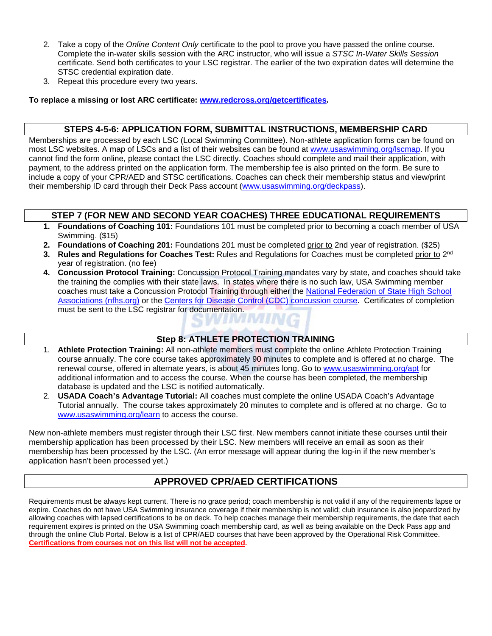- 2. Take a copy of the *Online Content Only* certificate to the pool to prove you have passed the online course. Complete the in-water skills session with the ARC instructor, who will issue a *STSC In-Water Skills Session* certificate. Send both certificates to your LSC registrar. The earlier of the two expiration dates will determine the STSC credential expiration date.
- 3. Repeat this procedure every two years.

**To replace a missing or lost ARC certificate: [www.redcross.org/getcertificates](http://www.redcross.org/getcertificate).** 

#### **STEPS 4-5-6: APPLICATION FORM, SUBMITTAL INSTRUCTIONS, MEMBERSHIP CARD**

Memberships are processed by each LSC (Local Swimming Committee). Non-athlete application forms can be found on most LSC websites. A map of LSCs and a list of their websites can be found at [www.usaswimming.org/lscmap.](http://www.usaswimming.org/lscmap) If you cannot find the form online, please contact the LSC directly. Coaches should complete and mail their application, with payment, to the address printed on the application form. The membership fee is also printed on the form. Be sure to include a copy of your CPR/AED and STSC certifications. Coaches can check their membership status and view/print their membership ID card through their Deck Pass account [\(www.usaswimming.org/deckpass\)](http://www.usaswimming.org/deckpass).

#### **STEP 7 (FOR NEW AND SECOND YEAR COACHES) THREE EDUCATIONAL REQUIREMENTS**

- **1. Foundations of Coaching 101:** Foundations 101 must be completed prior to becoming a coach member of USA Swimming. (\$15)
- **2. Foundations of Coaching 201:** Foundations 201 must be completed prior to 2nd year of registration. (\$25)
- **3. Rules and Regulations for Coaches Test:** Rules and Regulations for Coaches must be completed prior to 2nd year of registration. (no fee)
- **4. Concussion Protocol Training:** Concussion Protocol Training mandates vary by state, and coaches should take the training the complies with their state laws. In states where there is no such law, USA Swimming member coaches must take a Concussion Protocol Training through either the [National Federation of State High School](https://nfhslearn.com/courses/61151/concussion-in-sports)  [Associations \(nfhs.org\)](https://nfhslearn.com/courses/61151/concussion-in-sports) or the [Centers for Disease Control \(CDC\) concussion course.](https://www.cdc.gov/headsup/youthsports/training/index.html) Certificates of completion must be sent to the LSC registrar for documentation.

#### **Step 8: ATHLETE PROTECTION TRAINING**

- 1. **Athlete Protection Training:** All non-athlete members must complete the online Athlete Protection Training course annually. The core course takes approximately 90 minutes to complete and is offered at no charge. The renewal course, offered in alternate years, is about 45 minutes long. Go to [www.usaswimming.org/apt](http://www.usaswimming.org/apt) for additional information and to access the course. When the course has been completed, the membership database is updated and the LSC is notified automatically.
- 2. **USADA Coach's Advantage Tutorial:** All coaches must complete the online USADA Coach's Advantage Tutorial annually. The course takes approximately 20 minutes to complete and is offered at no charge. Go to [www.usaswimming.org/learn](http://www.usaswimming.org/learn) to access the course.

New non-athlete members must register through their LSC first. New members cannot initiate these courses until their membership application has been processed by their LSC. New members will receive an email as soon as their membership has been processed by the LSC. (An error message will appear during the log-in if the new member's application hasn't been processed yet.)

## **APPROVED CPR/AED CERTIFICATIONS**

Requirements must be always kept current. There is no grace period; coach membership is not valid if any of the requirements lapse or expire. Coaches do not have USA Swimming insurance coverage if their membership is not valid; club insurance is also jeopardized by allowing coaches with lapsed certifications to be on deck. To help coaches manage their membership requirements, the date that each requirement expires is printed on the USA Swimming coach membership card, as well as being available on the Deck Pass app and through the online Club Portal. Below is a list of CPR/AED courses that have been approved by the Operational Risk Committee. **Certifications from courses not on this list will not be accepted.**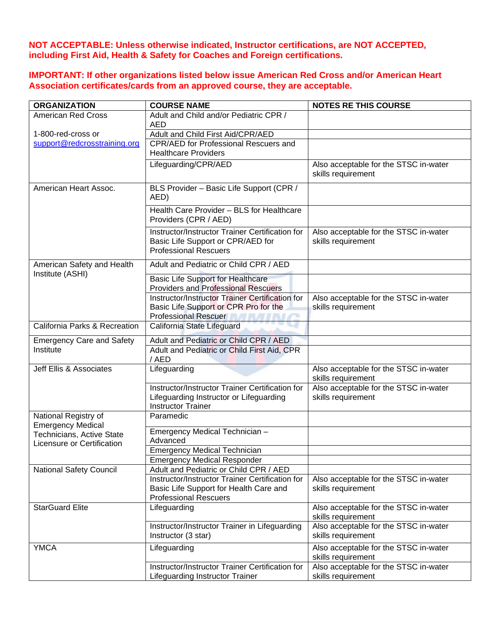**NOT ACCEPTABLE: Unless otherwise indicated, Instructor certifications, are NOT ACCEPTED, including First Aid, Health & Safety for Coaches and Foreign certifications.**

**IMPORTANT: If other organizations listed below issue American Red Cross and/or American Heart Association certificates/cards from an approved course, they are acceptable.**

| <b>ORGANIZATION</b>                                                                 | <b>COURSE NAME</b>                                                                                                                           | <b>NOTES RE THIS COURSE</b>                                 |
|-------------------------------------------------------------------------------------|----------------------------------------------------------------------------------------------------------------------------------------------|-------------------------------------------------------------|
| <b>American Red Cross</b>                                                           | Adult and Child and/or Pediatric CPR /                                                                                                       |                                                             |
|                                                                                     | AED                                                                                                                                          |                                                             |
| 1-800-red-cross or                                                                  | Adult and Child First Aid/CPR/AED                                                                                                            |                                                             |
| support@redcrosstraining.org                                                        | CPR/AED for Professional Rescuers and<br><b>Healthcare Providers</b>                                                                         |                                                             |
|                                                                                     | Lifeguarding/CPR/AED                                                                                                                         | Also acceptable for the STSC in-water<br>skills requirement |
| American Heart Assoc.                                                               | BLS Provider - Basic Life Support (CPR /<br>AED)                                                                                             |                                                             |
|                                                                                     | Health Care Provider - BLS for Healthcare<br>Providers (CPR / AED)                                                                           |                                                             |
|                                                                                     | Instructor/Instructor Trainer Certification for<br>Basic Life Support or CPR/AED for<br><b>Professional Rescuers</b>                         | Also acceptable for the STSC in-water<br>skills requirement |
| American Safety and Health<br>Institute (ASHI)                                      | Adult and Pediatric or Child CPR / AED                                                                                                       |                                                             |
|                                                                                     | <b>Basic Life Support for Healthcare</b><br><b>Providers and Professional Rescuers</b>                                                       |                                                             |
|                                                                                     | Instructor/Instructor Trainer Certification for<br>Basic Life Support or CPR Pro for the<br><b>Professional Rescuer Professional Rescuer</b> | Also acceptable for the STSC in-water<br>skills requirement |
| California Parks & Recreation                                                       | California State Lifeguard                                                                                                                   |                                                             |
| <b>Emergency Care and Safety</b>                                                    | Adult and Pediatric or Child CPR / AED                                                                                                       |                                                             |
| Institute                                                                           | Adult and Pediatric or Child First Aid, CPR<br>/AED                                                                                          |                                                             |
| Jeff Ellis & Associates                                                             | Lifeguarding                                                                                                                                 | Also acceptable for the STSC in-water<br>skills requirement |
|                                                                                     | Instructor/Instructor Trainer Certification for<br>Lifeguarding Instructor or Lifeguarding<br><b>Instructor Trainer</b>                      | Also acceptable for the STSC in-water<br>skills requirement |
| National Registry of                                                                | Paramedic                                                                                                                                    |                                                             |
| <b>Emergency Medical</b><br>Technicians, Active State<br>Licensure or Certification | Emergency Medical Technician -<br>Advanced                                                                                                   |                                                             |
|                                                                                     | <b>Emergency Medical Technician</b>                                                                                                          |                                                             |
|                                                                                     | <b>Emergency Medical Responder</b>                                                                                                           |                                                             |
| <b>National Safety Council</b>                                                      | Adult and Pediatric or Child CPR / AED                                                                                                       |                                                             |
|                                                                                     | Instructor/Instructor Trainer Certification for<br>Basic Life Support for Health Care and<br><b>Professional Rescuers</b>                    | Also acceptable for the STSC in-water<br>skills requirement |
| <b>StarGuard Elite</b>                                                              | Lifeguarding                                                                                                                                 | Also acceptable for the STSC in-water<br>skills requirement |
|                                                                                     | Instructor/Instructor Trainer in Lifeguarding<br>Instructor (3 star)                                                                         | Also acceptable for the STSC in-water<br>skills requirement |
| <b>YMCA</b>                                                                         | Lifeguarding                                                                                                                                 | Also acceptable for the STSC in-water<br>skills requirement |
|                                                                                     | Instructor/Instructor Trainer Certification for<br>Lifeguarding Instructor Trainer                                                           | Also acceptable for the STSC in-water<br>skills requirement |